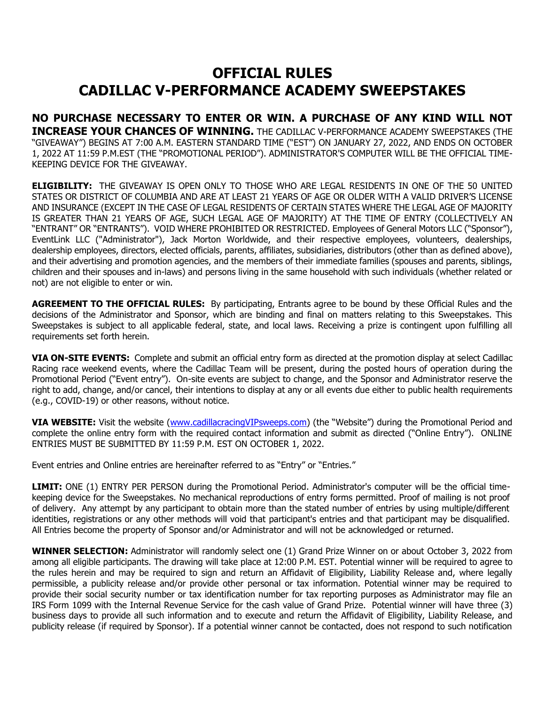## **OFFICIAL RULES CADILLAC V-PERFORMANCE ACADEMY SWEEPSTAKES**

**NO PURCHASE NECESSARY TO ENTER OR WIN. A PURCHASE OF ANY KIND WILL NOT INCREASE YOUR CHANCES OF WINNING.** THE CADILLAC V-PERFORMANCE ACADEMY SWEEPSTAKES (THE "GIVEAWAY") BEGINS AT 7:00 A.M. EASTERN STANDARD TIME ("EST") ON JANUARY 27, 2022, AND ENDS ON OCTOBER 1, 2022 AT 11:59 P.M.EST (THE "PROMOTIONAL PERIOD"). ADMINISTRATOR'S COMPUTER WILL BE THE OFFICIAL TIME-KEEPING DEVICE FOR THE GIVEAWAY.

**ELIGIBILITY:** THE GIVEAWAY IS OPEN ONLY TO THOSE WHO ARE LEGAL RESIDENTS IN ONE OF THE 50 UNITED STATES OR DISTRICT OF COLUMBIA AND ARE AT LEAST 21 YEARS OF AGE OR OLDER WITH A VALID DRIVER'S LICENSE AND INSURANCE (EXCEPT IN THE CASE OF LEGAL RESIDENTS OF CERTAIN STATES WHERE THE LEGAL AGE OF MAJORITY IS GREATER THAN 21 YEARS OF AGE, SUCH LEGAL AGE OF MAJORITY) AT THE TIME OF ENTRY (COLLECTIVELY AN "ENTRANT" OR "ENTRANTS"). VOID WHERE PROHIBITED OR RESTRICTED. Employees of General Motors LLC ("Sponsor"), EventLink LLC ("Administrator"), Jack Morton Worldwide, and their respective employees, volunteers, dealerships, dealership employees, directors, elected officials, parents, affiliates, subsidiaries, distributors (other than as defined above), and their advertising and promotion agencies, and the members of their immediate families (spouses and parents, siblings, children and their spouses and in-laws) and persons living in the same household with such individuals (whether related or not) are not eligible to enter or win.

**AGREEMENT TO THE OFFICIAL RULES:** By participating, Entrants agree to be bound by these Official Rules and the decisions of the Administrator and Sponsor, which are binding and final on matters relating to this Sweepstakes. This Sweepstakes is subject to all applicable federal, state, and local laws. Receiving a prize is contingent upon fulfilling all requirements set forth herein.

**VIA ON-SITE EVENTS:** Complete and submit an official entry form as directed at the promotion display at select Cadillac Racing race weekend events, where the Cadillac Team will be present, during the posted hours of operation during the Promotional Period ("Event entry"). On-site events are subject to change, and the Sponsor and Administrator reserve the right to add, change, and/or cancel, their intentions to display at any or all events due either to public health requirements (e.g., COVID-19) or other reasons, without notice.

**VIA WEBSITE:** Visit the website [\(www.cadillacracingVIPs](http://www.cadillacracingvip/)weeps.com) (the "Website") during the Promotional Period and complete the online entry form with the required contact information and submit as directed ("Online Entry"). ONLINE ENTRIES MUST BE SUBMITTED BY 11:59 P.M. EST ON OCTOBER 1, 2022.

Event entries and Online entries are hereinafter referred to as "Entry" or "Entries."

**LIMIT:** ONE (1) ENTRY PER PERSON during the Promotional Period. Administrator's computer will be the official timekeeping device for the Sweepstakes. No mechanical reproductions of entry forms permitted. Proof of mailing is not proof of delivery. Any attempt by any participant to obtain more than the stated number of entries by using multiple/different identities, registrations or any other methods will void that participant's entries and that participant may be disqualified. All Entries become the property of Sponsor and/or Administrator and will not be acknowledged or returned.

**WINNER SELECTION:** Administrator will randomly select one (1) Grand Prize Winner on or about October 3, 2022 from among all eligible participants. The drawing will take place at 12:00 P.M. EST. Potential winner will be required to agree to the rules herein and may be required to sign and return an Affidavit of Eligibility, Liability Release and, where legally permissible, a publicity release and/or provide other personal or tax information. Potential winner may be required to provide their social security number or tax identification number for tax reporting purposes as Administrator may file an IRS Form 1099 with the Internal Revenue Service for the cash value of Grand Prize. Potential winner will have three (3) business days to provide all such information and to execute and return the Affidavit of Eligibility, Liability Release, and publicity release (if required by Sponsor). If a potential winner cannot be contacted, does not respond to such notification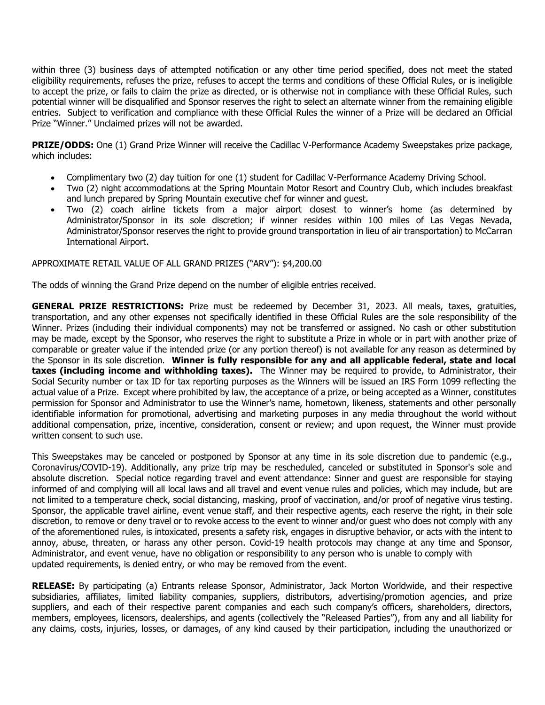within three (3) business days of attempted notification or any other time period specified, does not meet the stated eligibility requirements, refuses the prize, refuses to accept the terms and conditions of these Official Rules, or is ineligible to accept the prize, or fails to claim the prize as directed, or is otherwise not in compliance with these Official Rules, such potential winner will be disqualified and Sponsor reserves the right to select an alternate winner from the remaining eligible entries. Subject to verification and compliance with these Official Rules the winner of a Prize will be declared an Official Prize "Winner." Unclaimed prizes will not be awarded.

**PRIZE/ODDS:** One (1) Grand Prize Winner will receive the Cadillac V-Performance Academy Sweepstakes prize package, which includes:

- Complimentary two (2) day tuition for one (1) student for Cadillac V-Performance Academy Driving School.
- Two (2) night accommodations at the Spring Mountain Motor Resort and Country Club, which includes breakfast and lunch prepared by Spring Mountain executive chef for winner and guest.
- Two (2) coach airline tickets from a major airport closest to winner's home (as determined by Administrator/Sponsor in its sole discretion; if winner resides within 100 miles of Las Vegas Nevada, Administrator/Sponsor reserves the right to provide ground transportation in lieu of air transportation) to McCarran International Airport.

## APPROXIMATE RETAIL VALUE OF ALL GRAND PRIZES ("ARV"): \$4,200.00

The odds of winning the Grand Prize depend on the number of eligible entries received.

**GENERAL PRIZE RESTRICTIONS:** Prize must be redeemed by December 31, 2023. All meals, taxes, gratuities, transportation, and any other expenses not specifically identified in these Official Rules are the sole responsibility of the Winner. Prizes (including their individual components) may not be transferred or assigned. No cash or other substitution may be made, except by the Sponsor, who reserves the right to substitute a Prize in whole or in part with another prize of comparable or greater value if the intended prize (or any portion thereof) is not available for any reason as determined by the Sponsor in its sole discretion. **Winner is fully responsible for any and all applicable federal, state and local taxes (including income and withholding taxes).** The Winner may be required to provide, to Administrator, their Social Security number or tax ID for tax reporting purposes as the Winners will be issued an IRS Form 1099 reflecting the actual value of a Prize. Except where prohibited by law, the acceptance of a prize, or being accepted as a Winner, constitutes permission for Sponsor and Administrator to use the Winner's name, hometown, likeness, statements and other personally identifiable information for promotional, advertising and marketing purposes in any media throughout the world without additional compensation, prize, incentive, consideration, consent or review; and upon request, the Winner must provide written consent to such use.

This Sweepstakes may be canceled or postponed by Sponsor at any time in its sole discretion due to pandemic (e.g., Coronavirus/COVID-19). Additionally, any prize trip may be rescheduled, canceled or substituted in Sponsor's sole and absolute discretion. Special notice regarding travel and event attendance: Sinner and guest are responsible for staying informed of and complying will all local laws and all travel and event venue rules and policies, which may include, but are not limited to a temperature check, social distancing, masking, proof of vaccination, and/or proof of negative virus testing. Sponsor, the applicable travel airline, event venue staff, and their respective agents, each reserve the right, in their sole discretion, to remove or deny travel or to revoke access to the event to winner and/or guest who does not comply with any of the aforementioned rules, is intoxicated, presents a safety risk, engages in disruptive behavior, or acts with the intent to annoy, abuse, threaten, or harass any other person. Covid-19 health protocols may change at any time and Sponsor, Administrator, and event venue, have no obligation or responsibility to any person who is unable to comply with updated requirements, is denied entry, or who may be removed from the event.

**RELEASE:** By participating (a) Entrants release Sponsor, Administrator, Jack Morton Worldwide, and their respective subsidiaries, affiliates, limited liability companies, suppliers, distributors, advertising/promotion agencies, and prize suppliers, and each of their respective parent companies and each such company's officers, shareholders, directors, members, employees, licensors, dealerships, and agents (collectively the "Released Parties"), from any and all liability for any claims, costs, injuries, losses, or damages, of any kind caused by their participation, including the unauthorized or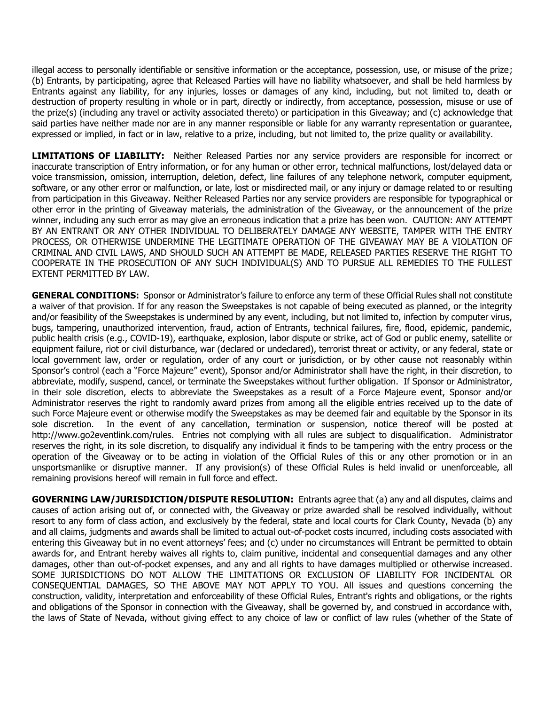illegal access to personally identifiable or sensitive information or the acceptance, possession, use, or misuse of the prize; (b) Entrants, by participating, agree that Released Parties will have no liability whatsoever, and shall be held harmless by Entrants against any liability, for any injuries, losses or damages of any kind, including, but not limited to, death or destruction of property resulting in whole or in part, directly or indirectly, from acceptance, possession, misuse or use of the prize(s) (including any travel or activity associated thereto) or participation in this Giveaway; and (c) acknowledge that said parties have neither made nor are in any manner responsible or liable for any warranty representation or guarantee, expressed or implied, in fact or in law, relative to a prize, including, but not limited to, the prize quality or availability.

**LIMITATIONS OF LIABILITY:** Neither Released Parties nor any service providers are responsible for incorrect or inaccurate transcription of Entry information, or for any human or other error, technical malfunctions, lost/delayed data or voice transmission, omission, interruption, deletion, defect, line failures of any telephone network, computer equipment, software, or any other error or malfunction, or late, lost or misdirected mail, or any injury or damage related to or resulting from participation in this Giveaway. Neither Released Parties nor any service providers are responsible for typographical or other error in the printing of Giveaway materials, the administration of the Giveaway, or the announcement of the prize winner, including any such error as may give an erroneous indication that a prize has been won. CAUTION: ANY ATTEMPT BY AN ENTRANT OR ANY OTHER INDIVIDUAL TO DELIBERATELY DAMAGE ANY WEBSITE, TAMPER WITH THE ENTRY PROCESS, OR OTHERWISE UNDERMINE THE LEGITIMATE OPERATION OF THE GIVEAWAY MAY BE A VIOLATION OF CRIMINAL AND CIVIL LAWS, AND SHOULD SUCH AN ATTEMPT BE MADE, RELEASED PARTIES RESERVE THE RIGHT TO COOPERATE IN THE PROSECUTION OF ANY SUCH INDIVIDUAL(S) AND TO PURSUE ALL REMEDIES TO THE FULLEST EXTENT PERMITTED BY LAW.

**GENERAL CONDITIONS:** Sponsor or Administrator's failure to enforce any term of these Official Rules shall not constitute a waiver of that provision. If for any reason the Sweepstakes is not capable of being executed as planned, or the integrity and/or feasibility of the Sweepstakes is undermined by any event, including, but not limited to, infection by computer virus, bugs, tampering, unauthorized intervention, fraud, action of Entrants, technical failures, fire, flood, epidemic, pandemic, public health crisis (e.g., COVID-19), earthquake, explosion, labor dispute or strike, act of God or public enemy, satellite or equipment failure, riot or civil disturbance, war (declared or undeclared), terrorist threat or activity, or any federal, state or local government law, order or regulation, order of any court or jurisdiction, or by other cause not reasonably within Sponsor's control (each a "Force Majeure" event), Sponsor and/or Administrator shall have the right, in their discretion, to abbreviate, modify, suspend, cancel, or terminate the Sweepstakes without further obligation. If Sponsor or Administrator, in their sole discretion, elects to abbreviate the Sweepstakes as a result of a Force Majeure event, Sponsor and/or Administrator reserves the right to randomly award prizes from among all the eligible entries received up to the date of such Force Majeure event or otherwise modify the Sweepstakes as may be deemed fair and equitable by the Sponsor in its sole discretion. In the event of any cancellation, termination or suspension, notice thereof will be posted at http://www.go2eventlink.com/rules. Entries not complying with all rules are subject to disqualification. Administrator reserves the right, in its sole discretion, to disqualify any individual it finds to be tampering with the entry process or the operation of the Giveaway or to be acting in violation of the Official Rules of this or any other promotion or in an unsportsmanlike or disruptive manner. If any provision(s) of these Official Rules is held invalid or unenforceable, all remaining provisions hereof will remain in full force and effect.

**GOVERNING LAW/JURISDICTION/DISPUTE RESOLUTION:** Entrants agree that (a) any and all disputes, claims and causes of action arising out of, or connected with, the Giveaway or prize awarded shall be resolved individually, without resort to any form of class action, and exclusively by the federal, state and local courts for Clark County, Nevada (b) any and all claims, judgments and awards shall be limited to actual out-of-pocket costs incurred, including costs associated with entering this Giveaway but in no event attorneys' fees; and (c) under no circumstances will Entrant be permitted to obtain awards for, and Entrant hereby waives all rights to, claim punitive, incidental and consequential damages and any other damages, other than out-of-pocket expenses, and any and all rights to have damages multiplied or otherwise increased. SOME JURISDICTIONS DO NOT ALLOW THE LIMITATIONS OR EXCLUSION OF LIABILITY FOR INCIDENTAL OR CONSEQUENTIAL DAMAGES, SO THE ABOVE MAY NOT APPLY TO YOU. All issues and questions concerning the construction, validity, interpretation and enforceability of these Official Rules, Entrant's rights and obligations, or the rights and obligations of the Sponsor in connection with the Giveaway, shall be governed by, and construed in accordance with, the laws of State of Nevada, without giving effect to any choice of law or conflict of law rules (whether of the State of